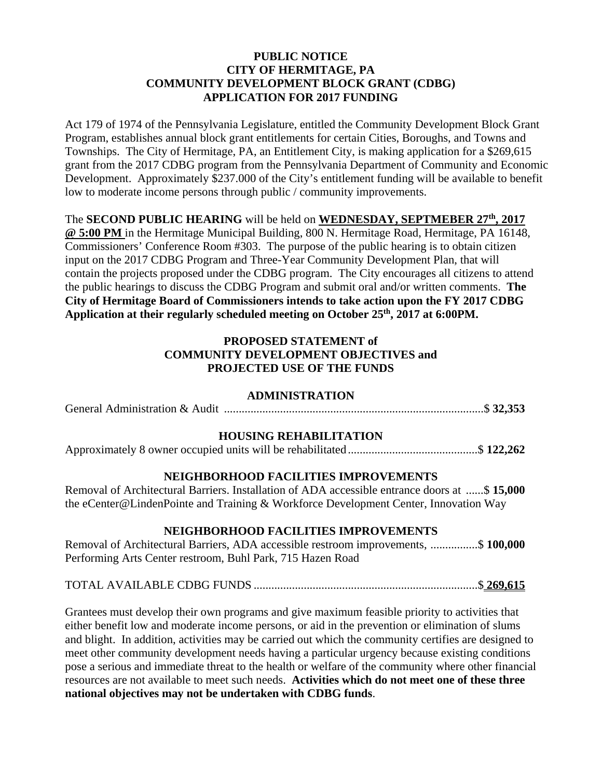## **PUBLIC NOTICE CITY OF HERMITAGE, PA COMMUNITY DEVELOPMENT BLOCK GRANT (CDBG) APPLICATION FOR 2017 FUNDING**

Act 179 of 1974 of the Pennsylvania Legislature, entitled the Community Development Block Grant Program, establishes annual block grant entitlements for certain Cities, Boroughs, and Towns and Townships. The City of Hermitage, PA, an Entitlement City, is making application for a \$269,615 grant from the 2017 CDBG program from the Pennsylvania Department of Community and Economic Development. Approximately \$237.000 of the City's entitlement funding will be available to benefit low to moderate income persons through public / community improvements.

The **SECOND PUBLIC HEARING** will be held on **WEDNESDAY, SEPTMEBER 27th, 2017** 

**@ 5:00 PM** in the Hermitage Municipal Building, 800 N. Hermitage Road, Hermitage, PA 16148, Commissioners' Conference Room #303. The purpose of the public hearing is to obtain citizen input on the 2017 CDBG Program and Three-Year Community Development Plan, that will contain the projects proposed under the CDBG program. The City encourages all citizens to attend the public hearings to discuss the CDBG Program and submit oral and/or written comments. **The City of Hermitage Board of Commissioners intends to take action upon the FY 2017 CDBG Application at their regularly scheduled meeting on October 25th, 2017 at 6:00PM.** 

# **PROPOSED STATEMENT of COMMUNITY DEVELOPMENT OBJECTIVES and PROJECTED USE OF THE FUNDS**

## **ADMINISTRATION**

General Administration & Audit ........................................................................................ \$ **32,353**

## **HOUSING REHABILITATION**

Approximately 8 owner occupied units will be rehabilitated ............................................ \$ **122,262**

## **NEIGHBORHOOD FACILITIES IMPROVEMENTS**

Removal of Architectural Barriers. Installation of ADA accessible entrance doors at ...... \$ **15,000** the eCenter@LindenPointe and Training & Workforce Development Center, Innovation Way

#### **NEIGHBORHOOD FACILITIES IMPROVEMENTS**

Removal of Architectural Barriers, ADA accessible restroom improvements, ................ \$ **100,000** Performing Arts Center restroom, Buhl Park, 715 Hazen Road

# TOTAL AVAILABLE CDBG FUNDS ............................................................................ \$ **269,615**

Grantees must develop their own programs and give maximum feasible priority to activities that either benefit low and moderate income persons, or aid in the prevention or elimination of slums and blight. In addition, activities may be carried out which the community certifies are designed to meet other community development needs having a particular urgency because existing conditions pose a serious and immediate threat to the health or welfare of the community where other financial resources are not available to meet such needs. **Activities which do not meet one of these three national objectives may not be undertaken with CDBG funds**.